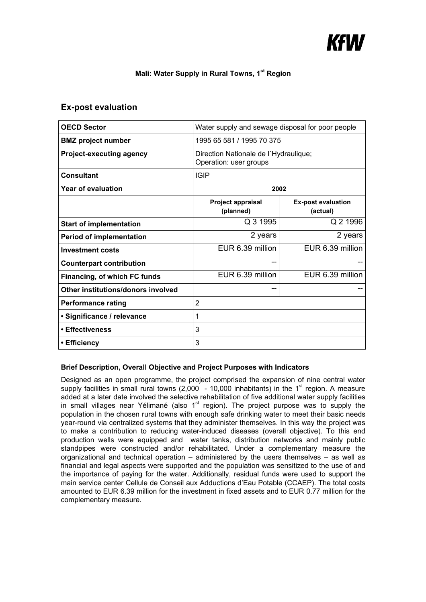# KfW

## **Mali: Water Supply in Rural Towns, 1st Region**

# **Ex-post evaluation**

| <b>OECD Sector</b>                 | Water supply and sewage disposal for poor people                |                                       |
|------------------------------------|-----------------------------------------------------------------|---------------------------------------|
| <b>BMZ</b> project number          | 1995 65 581 / 1995 70 375                                       |                                       |
| <b>Project-executing agency</b>    | Direction Nationale de l'Hydraulique;<br>Operation: user groups |                                       |
| <b>Consultant</b>                  | <b>IGIP</b>                                                     |                                       |
| Year of evaluation                 | 2002                                                            |                                       |
|                                    | Project appraisal<br>(planned)                                  | <b>Ex-post evaluation</b><br>(actual) |
| <b>Start of implementation</b>     | Q 3 1995                                                        | Q 2 1996                              |
| <b>Period of implementation</b>    | 2 years                                                         | 2 years                               |
| <b>Investment costs</b>            | EUR 6.39 million                                                | EUR 6.39 million                      |
| <b>Counterpart contribution</b>    | --                                                              |                                       |
| Financing, of which FC funds       | EUR 6.39 million                                                | EUR 6.39 million                      |
| Other institutions/donors involved | --                                                              |                                       |
| <b>Performance rating</b>          | $\overline{2}$                                                  |                                       |
| · Significance / relevance         | 1                                                               |                                       |
| • Effectiveness                    | 3                                                               |                                       |
| • Efficiency                       | 3                                                               |                                       |

## **Brief Description, Overall Objective and Project Purposes with Indicators**

Designed as an open programme, the project comprised the expansion of nine central water supply facilities in small rural towns  $(2,000 - 10,000)$  inhabitants) in the 1<sup>st</sup> region. A measure added at a later date involved the selective rehabilitation of five additional water supply facilities in small villages near Yélimané (also 1<sup>st</sup> region). The project purpose was to supply the population in the chosen rural towns with enough safe drinking water to meet their basic needs year-round via centralized systems that they administer themselves. In this way the project was to make a contribution to reducing water-induced diseases (overall objective). To this end production wells were equipped and water tanks, distribution networks and mainly public standpipes were constructed and/or rehabilitated. Under a complementary measure the organizational and technical operation – administered by the users themselves – as well as financial and legal aspects were supported and the population was sensitized to the use of and the importance of paying for the water. Additionally, residual funds were used to support the main service center Cellule de Conseil aux Adductions d'Eau Potable (CCAEP). The total costs amounted to EUR 6.39 million for the investment in fixed assets and to EUR 0.77 million for the complementary measure.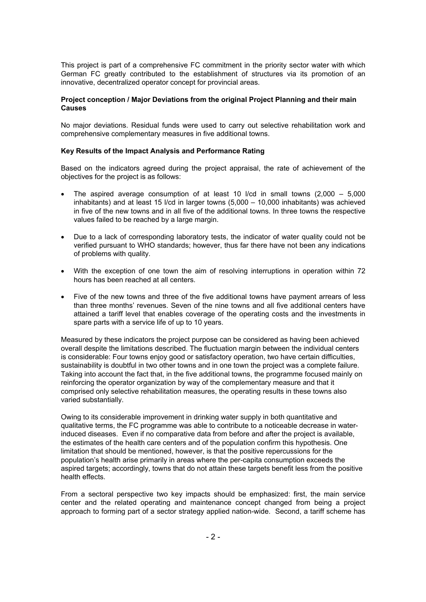This project is part of a comprehensive FC commitment in the priority sector water with which German FC greatly contributed to the establishment of structures via its promotion of an innovative, decentralized operator concept for provincial areas.

## **Project conception / Major Deviations from the original Project Planning and their main Causes**

No major deviations. Residual funds were used to carry out selective rehabilitation work and comprehensive complementary measures in five additional towns.

#### **Key Results of the Impact Analysis and Performance Rating**

Based on the indicators agreed during the project appraisal, the rate of achievement of the objectives for the project is as follows:

- The aspired average consumption of at least 10  $\ell$  in small towns (2,000 5,000 inhabitants) and at least 15 l/cd in larger towns (5,000 – 10,000 inhabitants) was achieved in five of the new towns and in all five of the additional towns. In three towns the respective values failed to be reached by a large margin.
- Due to a lack of corresponding laboratory tests, the indicator of water quality could not be verified pursuant to WHO standards; however, thus far there have not been any indications of problems with quality.
- With the exception of one town the aim of resolving interruptions in operation within 72 hours has been reached at all centers.
- Five of the new towns and three of the five additional towns have payment arrears of less than three months' revenues. Seven of the nine towns and all five additional centers have attained a tariff level that enables coverage of the operating costs and the investments in spare parts with a service life of up to 10 years.

Measured by these indicators the project purpose can be considered as having been achieved overall despite the limitations described. The fluctuation margin between the individual centers is considerable: Four towns enjoy good or satisfactory operation, two have certain difficulties, sustainability is doubtful in two other towns and in one town the project was a complete failure. Taking into account the fact that, in the five additional towns, the programme focused mainly on reinforcing the operator organization by way of the complementary measure and that it comprised only selective rehabilitation measures, the operating results in these towns also varied substantially.

Owing to its considerable improvement in drinking water supply in both quantitative and qualitative terms, the FC programme was able to contribute to a noticeable decrease in waterinduced diseases. Even if no comparative data from before and after the project is available, the estimates of the health care centers and of the population confirm this hypothesis. One limitation that should be mentioned, however, is that the positive repercussions for the population's health arise primarily in areas where the per-capita consumption exceeds the aspired targets; accordingly, towns that do not attain these targets benefit less from the positive health effects.

From a sectoral perspective two key impacts should be emphasized: first, the main service center and the related operating and maintenance concept changed from being a project approach to forming part of a sector strategy applied nation-wide. Second, a tariff scheme has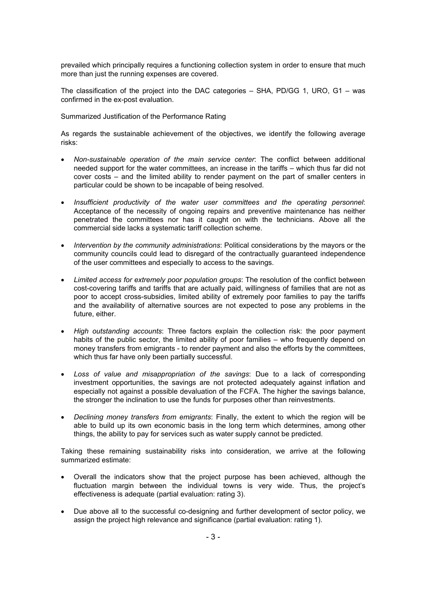prevailed which principally requires a functioning collection system in order to ensure that much more than just the running expenses are covered.

The classification of the project into the DAC categories – SHA, PD/GG 1, URO, G1 – was confirmed in the ex-post evaluation.

Summarized Justification of the Performance Rating

As regards the sustainable achievement of the objectives, we identify the following average risks:

- *Non-sustainable operation of the main service center*: The conflict between additional needed support for the water committees, an increase in the tariffs – which thus far did not cover costs – and the limited ability to render payment on the part of smaller centers in particular could be shown to be incapable of being resolved.
- *Insufficient productivity of the water user committees and the operating personnel*: Acceptance of the necessity of ongoing repairs and preventive maintenance has neither penetrated the committees nor has it caught on with the technicians. Above all the commercial side lacks a systematic tariff collection scheme.
- *Intervention by the community administrations*: Political considerations by the mayors or the community councils could lead to disregard of the contractually guaranteed independence of the user committees and especially to access to the savings.
- *Limited access for extremely poor population groups*: The resolution of the conflict between cost-covering tariffs and tariffs that are actually paid, willingness of families that are not as poor to accept cross-subsidies, limited ability of extremely poor families to pay the tariffs and the availability of alternative sources are not expected to pose any problems in the future, either.
- *High outstanding accounts*: Three factors explain the collection risk: the poor payment habits of the public sector, the limited ability of poor families – who frequently depend on money transfers from emigrants - to render payment and also the efforts by the committees, which thus far have only been partially successful.
- *Loss of value and misappropriation of the savings*: Due to a lack of corresponding investment opportunities, the savings are not protected adequately against inflation and especially not against a possible devaluation of the FCFA. The higher the savings balance, the stronger the inclination to use the funds for purposes other than reinvestments.
- *Declining money transfers from emigrants*: Finally, the extent to which the region will be able to build up its own economic basis in the long term which determines, among other things, the ability to pay for services such as water supply cannot be predicted.

Taking these remaining sustainability risks into consideration, we arrive at the following summarized estimate:

- Overall the indicators show that the project purpose has been achieved, although the fluctuation margin between the individual towns is very wide. Thus, the project's effectiveness is adequate (partial evaluation: rating 3).
- Due above all to the successful co-designing and further development of sector policy, we assign the project high relevance and significance (partial evaluation: rating 1).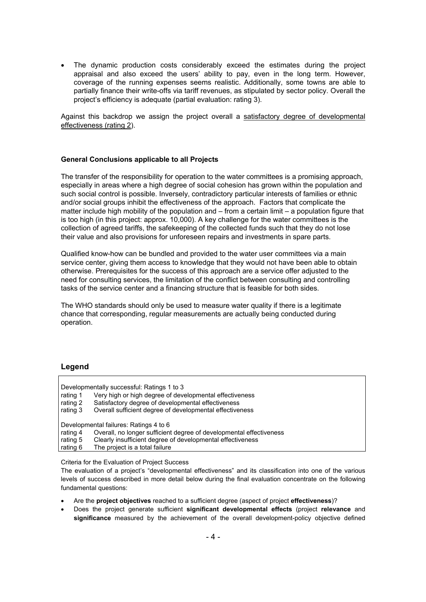The dynamic production costs considerably exceed the estimates during the project appraisal and also exceed the users' ability to pay, even in the long term. However, coverage of the running expenses seems realistic. Additionally, some towns are able to partially finance their write-offs via tariff revenues, as stipulated by sector policy. Overall the project's efficiency is adequate (partial evaluation: rating 3).

Against this backdrop we assign the project overall a satisfactory degree of developmental effectiveness (rating 2).

#### **General Conclusions applicable to all Projects**

The transfer of the responsibility for operation to the water committees is a promising approach, especially in areas where a high degree of social cohesion has grown within the population and such social control is possible. Inversely, contradictory particular interests of families or ethnic and/or social groups inhibit the effectiveness of the approach. Factors that complicate the matter include high mobility of the population and  $-$  from a certain limit  $-$  a population figure that is too high (in this project: approx. 10,000). A key challenge for the water committees is the collection of agreed tariffs, the safekeeping of the collected funds such that they do not lose their value and also provisions for unforeseen repairs and investments in spare parts.

Qualified know-how can be bundled and provided to the water user committees via a main service center, giving them access to knowledge that they would not have been able to obtain otherwise. Prerequisites for the success of this approach are a service offer adjusted to the need for consulting services, the limitation of the conflict between consulting and controlling tasks of the service center and a financing structure that is feasible for both sides.

The WHO standards should only be used to measure water quality if there is a legitimate chance that corresponding, regular measurements are actually being conducted during operation.

## **Legend**

|                                        | Developmentally successful: Ratings 1 to 3                          |  |
|----------------------------------------|---------------------------------------------------------------------|--|
| rating 1                               | Very high or high degree of developmental effectiveness             |  |
| rating 2                               | Satisfactory degree of developmental effectiveness                  |  |
| rating 3                               | Overall sufficient degree of developmental effectiveness            |  |
| Developmental failures: Ratings 4 to 6 |                                                                     |  |
| rating 4                               | Overall, no longer sufficient degree of developmental effectiveness |  |
| rating 5                               | Clearly insufficient degree of developmental effectiveness          |  |
| rating 6                               | The project is a total failure                                      |  |

Criteria for the Evaluation of Project Success

The evaluation of a project's "developmental effectiveness" and its classification into one of the various levels of success described in more detail below during the final evaluation concentrate on the following fundamental questions:

- Are the **project objectives** reached to a sufficient degree (aspect of project **effectiveness**)?
- Does the project generate sufficient **significant developmental effects** (project **relevance** and **significance** measured by the achievement of the overall development-policy objective defined